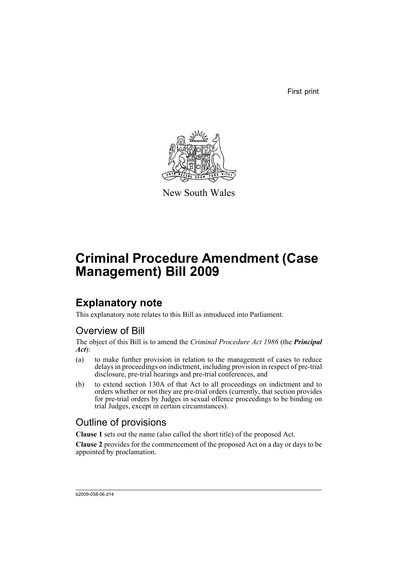First print



New South Wales

# **Criminal Procedure Amendment (Case Management) Bill 2009**

# **Explanatory note**

This explanatory note relates to this Bill as introduced into Parliament.

## Overview of Bill

The object of this Bill is to amend the *Criminal Procedure Act 1986* (the *Principal Act*):

- (a) to make further provision in relation to the management of cases to reduce delays in proceedings on indictment, including provision in respect of pre-trial disclosure, pre-trial hearings and pre-trial conferences, and
- (b) to extend section 130A of that Act to all proceedings on indictment and to orders whether or not they are pre-trial orders (currently, that section provides for pre-trial orders by Judges in sexual offence proceedings to be binding on trial Judges, except in certain circumstances).

## Outline of provisions

**Clause 1** sets out the name (also called the short title) of the proposed Act.

**Clause 2** provides for the commencement of the proposed Act on a day or days to be appointed by proclamation.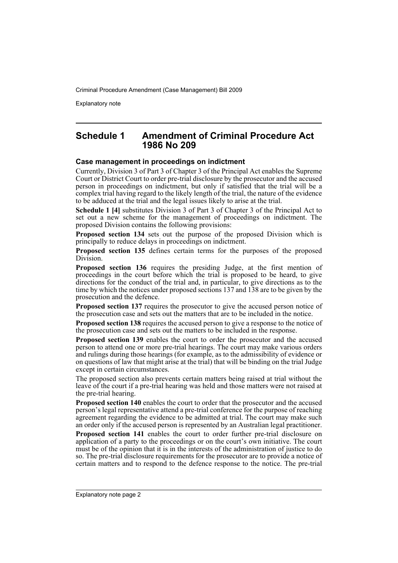Explanatory note

### **Schedule 1 Amendment of Criminal Procedure Act 1986 No 209**

#### **Case management in proceedings on indictment**

Currently, Division 3 of Part 3 of Chapter 3 of the Principal Act enables the Supreme Court or District Court to order pre-trial disclosure by the prosecutor and the accused person in proceedings on indictment, but only if satisfied that the trial will be a complex trial having regard to the likely length of the trial, the nature of the evidence to be adduced at the trial and the legal issues likely to arise at the trial.

**Schedule 1 [4]** substitutes Division 3 of Part 3 of Chapter 3 of the Principal Act to set out a new scheme for the management of proceedings on indictment. The proposed Division contains the following provisions:

**Proposed section 134** sets out the purpose of the proposed Division which is principally to reduce delays in proceedings on indictment.

**Proposed section 135** defines certain terms for the purposes of the proposed Division.

**Proposed section 136** requires the presiding Judge, at the first mention of proceedings in the court before which the trial is proposed to be heard, to give directions for the conduct of the trial and, in particular, to give directions as to the time by which the notices under proposed sections 137 and 138 are to be given by the prosecution and the defence.

**Proposed section 137** requires the prosecutor to give the accused person notice of the prosecution case and sets out the matters that are to be included in the notice.

**Proposed section 138** requires the accused person to give a response to the notice of the prosecution case and sets out the matters to be included in the response.

**Proposed section 139** enables the court to order the prosecutor and the accused person to attend one or more pre-trial hearings. The court may make various orders and rulings during those hearings (for example, as to the admissibility of evidence or on questions of law that might arise at the trial) that will be binding on the trial Judge except in certain circumstances.

The proposed section also prevents certain matters being raised at trial without the leave of the court if a pre-trial hearing was held and those matters were not raised at the pre-trial hearing.

**Proposed section 140** enables the court to order that the prosecutor and the accused person's legal representative attend a pre-trial conference for the purpose of reaching agreement regarding the evidence to be admitted at trial. The court may make such an order only if the accused person is represented by an Australian legal practitioner.

**Proposed section 141** enables the court to order further pre-trial disclosure on application of a party to the proceedings or on the court's own initiative. The court must be of the opinion that it is in the interests of the administration of justice to do so. The pre-trial disclosure requirements for the prosecutor are to provide a notice of certain matters and to respond to the defence response to the notice. The pre-trial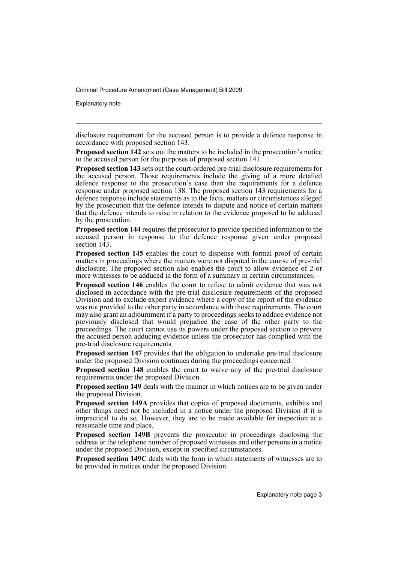Explanatory note

disclosure requirement for the accused person is to provide a defence response in accordance with proposed section 143.

**Proposed section 142** sets out the matters to be included in the prosecution's notice to the accused person for the purposes of proposed section 141.

**Proposed section 143** sets out the court-ordered pre-trial disclosure requirements for the accused person. Those requirements include the giving of a more detailed defence response to the prosecution's case than the requirements for a defence response under proposed section 138. The proposed section 143 requirements for a defence response include statements as to the facts, matters or circumstances alleged by the prosecution that the defence intends to dispute and notice of certain matters that the defence intends to raise in relation to the evidence proposed to be adduced by the prosecution.

**Proposed section 144** requires the prosecutor to provide specified information to the accused person in response to the defence response given under proposed section 143.

**Proposed section 145** enables the court to dispense with formal proof of certain matters in proceedings where the matters were not disputed in the course of pre-trial disclosure. The proposed section also enables the court to allow evidence of 2 or more witnesses to be adduced in the form of a summary in certain circumstances.

**Proposed section 146** enables the court to refuse to admit evidence that was not disclosed in accordance with the pre-trial disclosure requirements of the proposed Division and to exclude expert evidence where a copy of the report of the evidence was not provided to the other party in accordance with those requirements. The court may also grant an adjournment if a party to proceedings seeks to adduce evidence not previously disclosed that would prejudice the case of the other party to the proceedings. The court cannot use its powers under the proposed section to prevent the accused person adducing evidence unless the prosecutor has complied with the pre-trial disclosure requirements.

**Proposed section 147** provides that the obligation to undertake pre-trial disclosure under the proposed Division continues during the proceedings concerned.

**Proposed section 148** enables the court to waive any of the pre-trial disclosure requirements under the proposed Division.

**Proposed section 149** deals with the manner in which notices are to be given under the proposed Division.

**Proposed section 149A** provides that copies of proposed documents, exhibits and other things need not be included in a notice under the proposed Division if it is impractical to do so. However, they are to be made available for inspection at a reasonable time and place.

**Proposed section 149B** prevents the prosecutor in proceedings disclosing the address or the telephone number of proposed witnesses and other persons in a notice under the proposed Division, except in specified circumstances.

**Proposed section 149C** deals with the form in which statements of witnesses are to be provided in notices under the proposed Division.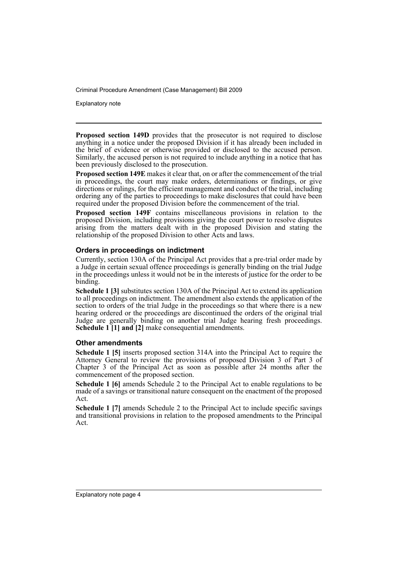Explanatory note

**Proposed section 149D** provides that the prosecutor is not required to disclose anything in a notice under the proposed Division if it has already been included in the brief of evidence or otherwise provided or disclosed to the accused person. Similarly, the accused person is not required to include anything in a notice that has been previously disclosed to the prosecution.

**Proposed section 149E** makes it clear that, on or after the commencement of the trial in proceedings, the court may make orders, determinations or findings, or give directions or rulings, for the efficient management and conduct of the trial, including ordering any of the parties to proceedings to make disclosures that could have been required under the proposed Division before the commencement of the trial.

**Proposed section 149F** contains miscellaneous provisions in relation to the proposed Division, including provisions giving the court power to resolve disputes arising from the matters dealt with in the proposed Division and stating the relationship of the proposed Division to other Acts and laws.

#### **Orders in proceedings on indictment**

Currently, section 130A of the Principal Act provides that a pre-trial order made by a Judge in certain sexual offence proceedings is generally binding on the trial Judge in the proceedings unless it would not be in the interests of justice for the order to be binding.

**Schedule 1 [3]** substitutes section 130A of the Principal Act to extend its application to all proceedings on indictment. The amendment also extends the application of the section to orders of the trial Judge in the proceedings so that where there is a new hearing ordered or the proceedings are discontinued the orders of the original trial Judge are generally binding on another trial Judge hearing fresh proceedings. **Schedule 1 [1] and [2]** make consequential amendments.

#### **Other amendments**

**Schedule 1 [5]** inserts proposed section 314A into the Principal Act to require the Attorney General to review the provisions of proposed Division 3 of Part 3 of Chapter 3 of the Principal Act as soon as possible after 24 months after the commencement of the proposed section.

**Schedule 1 [6]** amends Schedule 2 to the Principal Act to enable regulations to be made of a savings or transitional nature consequent on the enactment of the proposed Act.

**Schedule 1 [7]** amends Schedule 2 to the Principal Act to include specific savings and transitional provisions in relation to the proposed amendments to the Principal Act.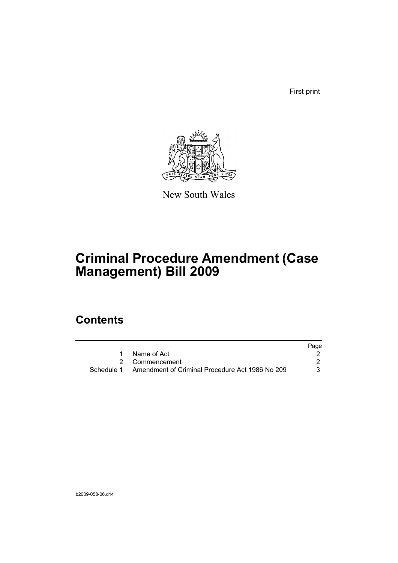First print



New South Wales

# **Criminal Procedure Amendment (Case Management) Bill 2009**

# **Contents**

|                                                            | Page |
|------------------------------------------------------------|------|
| 1 Name of Act                                              |      |
| 2 Commencement                                             |      |
| Schedule 1 Amendment of Criminal Procedure Act 1986 No 209 | 3.   |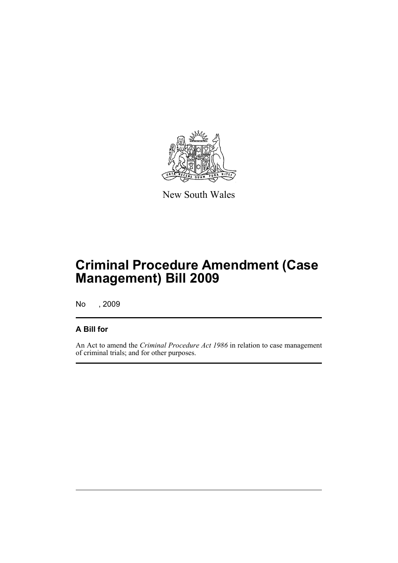

New South Wales

# **Criminal Procedure Amendment (Case Management) Bill 2009**

No , 2009

### **A Bill for**

An Act to amend the *Criminal Procedure Act 1986* in relation to case management of criminal trials; and for other purposes.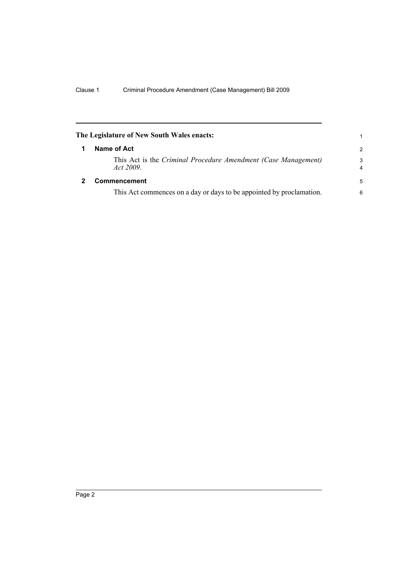<span id="page-7-1"></span><span id="page-7-0"></span>

|   | The Legislature of New South Wales enacts:                                  | 1             |
|---|-----------------------------------------------------------------------------|---------------|
|   | Name of Act                                                                 | $\mathcal{P}$ |
|   | This Act is the Criminal Procedure Amendment (Case Management)<br>Act 2009. | 3<br>4        |
| 2 | <b>Commencement</b>                                                         | 5             |
|   | This Act commences on a day or days to be appointed by proclamation.        | 6             |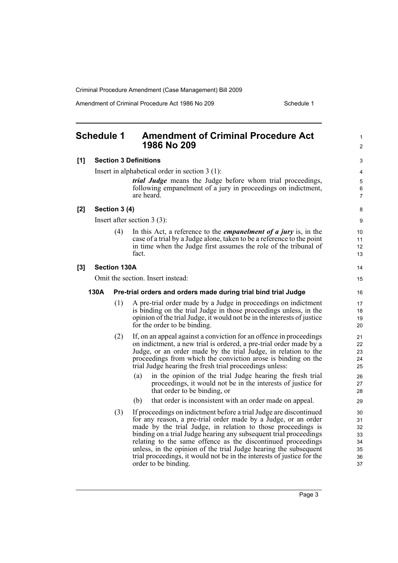Amendment of Criminal Procedure Act 1986 No 209 Schedule 1

<span id="page-8-0"></span>

|     | <b>Schedule 1</b>                 |                     | <b>Amendment of Criminal Procedure Act</b><br>1986 No 209                                                                                                                                                                                                                                                                                                                                                                                                                                                       | 1<br>$\overline{2}$                          |  |
|-----|-----------------------------------|---------------------|-----------------------------------------------------------------------------------------------------------------------------------------------------------------------------------------------------------------------------------------------------------------------------------------------------------------------------------------------------------------------------------------------------------------------------------------------------------------------------------------------------------------|----------------------------------------------|--|
| [1] |                                   |                     | <b>Section 3 Definitions</b>                                                                                                                                                                                                                                                                                                                                                                                                                                                                                    | 3                                            |  |
|     |                                   |                     | Insert in alphabetical order in section $3(1)$ :                                                                                                                                                                                                                                                                                                                                                                                                                                                                | 4                                            |  |
|     |                                   |                     | <i>trial Judge</i> means the Judge before whom trial proceedings,<br>following empanelment of a jury in proceedings on indictment,<br>are heard.                                                                                                                                                                                                                                                                                                                                                                | 5<br>6<br>$\overline{7}$                     |  |
| [2] |                                   | Section 3 (4)       |                                                                                                                                                                                                                                                                                                                                                                                                                                                                                                                 | 8                                            |  |
|     |                                   |                     | Insert after section $3(3)$ :                                                                                                                                                                                                                                                                                                                                                                                                                                                                                   | 9                                            |  |
|     |                                   | (4)                 | In this Act, a reference to the <i>empanelment of a jury</i> is, in the<br>case of a trial by a Judge alone, taken to be a reference to the point<br>in time when the Judge first assumes the role of the tribunal of<br>fact.                                                                                                                                                                                                                                                                                  | 10<br>11<br>12<br>13                         |  |
| [3] |                                   | <b>Section 130A</b> |                                                                                                                                                                                                                                                                                                                                                                                                                                                                                                                 | 14                                           |  |
|     | Omit the section. Insert instead: |                     |                                                                                                                                                                                                                                                                                                                                                                                                                                                                                                                 |                                              |  |
|     | 130A                              |                     | Pre-trial orders and orders made during trial bind trial Judge                                                                                                                                                                                                                                                                                                                                                                                                                                                  | 16                                           |  |
|     |                                   | (1)                 | A pre-trial order made by a Judge in proceedings on indictment<br>is binding on the trial Judge in those proceedings unless, in the<br>opinion of the trial Judge, it would not be in the interests of justice<br>for the order to be binding.                                                                                                                                                                                                                                                                  | 17<br>18<br>19<br>20                         |  |
|     |                                   | (2)                 | If, on an appeal against a conviction for an offence in proceedings<br>on indictment, a new trial is ordered, a pre-trial order made by a<br>Judge, or an order made by the trial Judge, in relation to the<br>proceedings from which the conviction arose is binding on the<br>trial Judge hearing the fresh trial proceedings unless:                                                                                                                                                                         | 21<br>22<br>23<br>24<br>25                   |  |
|     |                                   |                     | in the opinion of the trial Judge hearing the fresh trial<br>(a)<br>proceedings, it would not be in the interests of justice for<br>that order to be binding, or                                                                                                                                                                                                                                                                                                                                                | 26<br>27<br>28                               |  |
|     |                                   |                     | that order is inconsistent with an order made on appeal.<br>(b)                                                                                                                                                                                                                                                                                                                                                                                                                                                 | 29                                           |  |
|     |                                   | (3)                 | If proceedings on indictment before a trial Judge are discontinued<br>for any reason, a pre-trial order made by a Judge, or an order<br>made by the trial Judge, in relation to those proceedings is<br>binding on a trial Judge hearing any subsequent trial proceedings<br>relating to the same offence as the discontinued proceedings<br>unless, in the opinion of the trial Judge hearing the subsequent<br>trial proceedings, it would not be in the interests of justice for the<br>order to be binding. | 30<br>31<br>32<br>33<br>34<br>35<br>36<br>37 |  |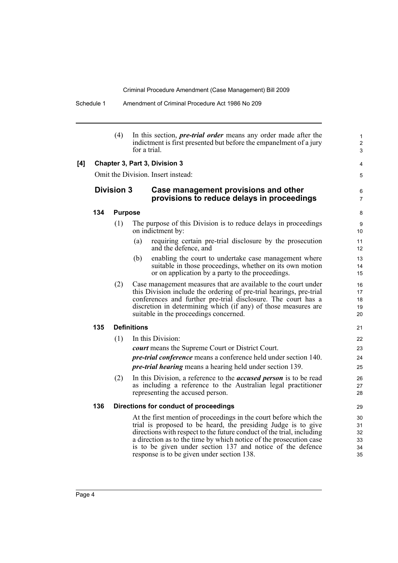Schedule 1 Amendment of Criminal Procedure Act 1986 No 209

(4) In this section, *pre-trial order* means any order made after the indictment is first presented but before the empanelment of a jury for a trial. **[4] Chapter 3, Part 3, Division 3** Omit the Division. Insert instead: **Division 3 Case management provisions and other provisions to reduce delays in proceedings 134 Purpose** (1) The purpose of this Division is to reduce delays in proceedings on indictment by: (a) requiring certain pre-trial disclosure by the prosecution and the defence, and (b) enabling the court to undertake case management where suitable in those proceedings, whether on its own motion or on application by a party to the proceedings. (2) Case management measures that are available to the court under this Division include the ordering of pre-trial hearings, pre-trial conferences and further pre-trial disclosure. The court has a discretion in determining which (if any) of those measures are suitable in the proceedings concerned. **135 Definitions** (1) In this Division: *court* means the Supreme Court or District Court. *pre-trial conference* means a conference held under section 140. *pre-trial hearing* means a hearing held under section 139. (2) In this Division, a reference to the *accused person* is to be read as including a reference to the Australian legal practitioner representing the accused person. **136 Directions for conduct of proceedings** At the first mention of proceedings in the court before which the trial is proposed to be heard, the presiding Judge is to give directions with respect to the future conduct of the trial, including a direction as to the time by which notice of the prosecution case is to be given under section 137 and notice of the defence response is to be given under section 138. 1 2 3 4 5 6 7 8 9 10 11 12 13 14 15 16 17 18 19 20 21 22 23  $24$ 25 26 27 28  $29$ 30 31 32 33 34 35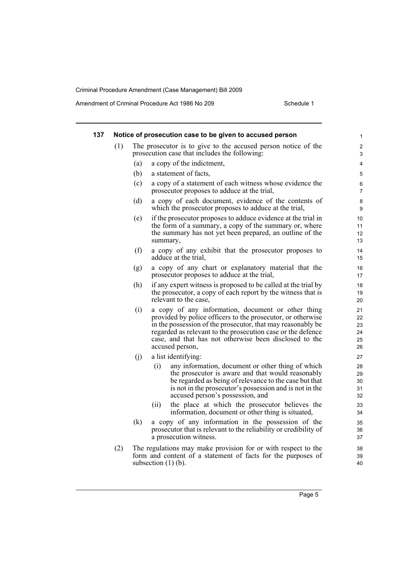Amendment of Criminal Procedure Act 1986 No 209 Schedule 1

| 137 |     |     | Notice of prosecution case to be given to accused person                                                                                                                                                                                                                                                                     | 1                                |
|-----|-----|-----|------------------------------------------------------------------------------------------------------------------------------------------------------------------------------------------------------------------------------------------------------------------------------------------------------------------------------|----------------------------------|
|     | (1) |     | The prosecutor is to give to the accused person notice of the<br>prosecution case that includes the following:                                                                                                                                                                                                               | $\overline{\mathbf{c}}$<br>3     |
|     |     | (a) | a copy of the indictment,                                                                                                                                                                                                                                                                                                    | 4                                |
|     |     | (b) | a statement of facts,                                                                                                                                                                                                                                                                                                        | 5                                |
|     |     | (c) | a copy of a statement of each witness whose evidence the<br>prosecutor proposes to adduce at the trial,                                                                                                                                                                                                                      | 6<br>7                           |
|     |     | (d) | a copy of each document, evidence of the contents of<br>which the prosecutor proposes to adduce at the trial,                                                                                                                                                                                                                | 8<br>9                           |
|     |     | (e) | if the prosecutor proposes to adduce evidence at the trial in<br>the form of a summary, a copy of the summary or, where<br>the summary has not yet been prepared, an outline of the<br>summary,                                                                                                                              | 10<br>11<br>12<br>13             |
|     |     | (f) | a copy of any exhibit that the prosecutor proposes to<br>adduce at the trial,                                                                                                                                                                                                                                                | 14<br>15                         |
|     |     | (g) | a copy of any chart or explanatory material that the<br>prosecutor proposes to adduce at the trial,                                                                                                                                                                                                                          | 16<br>17                         |
|     |     | (h) | if any expert witness is proposed to be called at the trial by<br>the prosecutor, a copy of each report by the witness that is<br>relevant to the case.                                                                                                                                                                      | 18<br>19<br>20                   |
|     |     | (i) | a copy of any information, document or other thing<br>provided by police officers to the prosecutor, or otherwise<br>in the possession of the prosecutor, that may reasonably be<br>regarded as relevant to the prosecution case or the defence<br>case, and that has not otherwise been disclosed to the<br>accused person, | 21<br>22<br>23<br>24<br>25<br>26 |
|     |     | (i) | a list identifying:                                                                                                                                                                                                                                                                                                          | 27                               |
|     |     |     | (i)<br>any information, document or other thing of which<br>the prosecutor is aware and that would reasonably<br>be regarded as being of relevance to the case but that<br>is not in the prosecutor's possession and is not in the<br>accused person's possession, and                                                       | 28<br>29<br>30<br>31<br>32       |
|     |     |     | the place at which the prosecutor believes the<br>(ii)<br>information, document or other thing is situated,                                                                                                                                                                                                                  | 33<br>34                         |
|     |     | (k) | a copy of any information in the possession of the<br>prosecutor that is relevant to the reliability or credibility of<br>a prosecution witness.                                                                                                                                                                             | 35<br>36<br>37                   |
|     | (2) |     | The regulations may make provision for or with respect to the<br>form and content of a statement of facts for the purposes of<br>subsection $(1)$ (b).                                                                                                                                                                       | 38<br>39<br>40                   |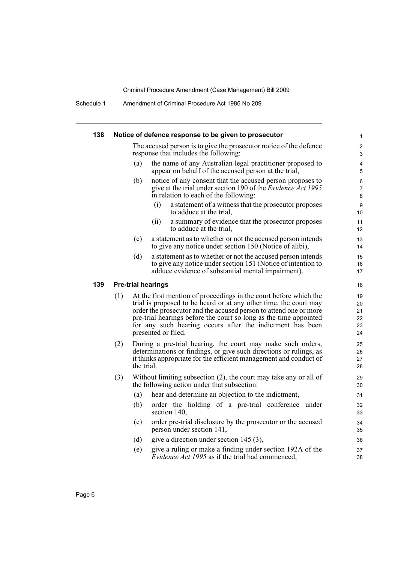Schedule 1 Amendment of Criminal Procedure Act 1986 No 209

| 138 |                           | Notice of defence response to be given to prosecutor                                                                                                                                                                                                                                                                                                                 | 1                                |
|-----|---------------------------|----------------------------------------------------------------------------------------------------------------------------------------------------------------------------------------------------------------------------------------------------------------------------------------------------------------------------------------------------------------------|----------------------------------|
|     |                           | The accused person is to give the prosecutor notice of the defence<br>response that includes the following:                                                                                                                                                                                                                                                          | 2<br>3                           |
|     | (a)                       | the name of any Australian legal practitioner proposed to<br>appear on behalf of the accused person at the trial,                                                                                                                                                                                                                                                    | 4<br>5                           |
|     | (b)                       | notice of any consent that the accused person proposes to<br>give at the trial under section 190 of the <i>Evidence Act 1995</i><br>in relation to each of the following:                                                                                                                                                                                            | 6<br>$\overline{7}$<br>8         |
|     |                           | a statement of a witness that the prosecutor proposes<br>(i)<br>to adduce at the trial.                                                                                                                                                                                                                                                                              | 9<br>10                          |
|     |                           | a summary of evidence that the prosecutor proposes<br>(ii)<br>to adduce at the trial,                                                                                                                                                                                                                                                                                | 11<br>12                         |
|     | (c)                       | a statement as to whether or not the accused person intends<br>to give any notice under section 150 (Notice of alibi),                                                                                                                                                                                                                                               | 13<br>14                         |
|     | (d)                       | a statement as to whether or not the accused person intends<br>to give any notice under section 151 (Notice of intention to<br>adduce evidence of substantial mental impairment).                                                                                                                                                                                    | 15<br>16<br>17                   |
| 139 | <b>Pre-trial hearings</b> |                                                                                                                                                                                                                                                                                                                                                                      | 18                               |
| (1) |                           | At the first mention of proceedings in the court before which the<br>trial is proposed to be heard or at any other time, the court may<br>order the prosecutor and the accused person to attend one or more<br>pre-trial hearings before the court so long as the time appointed<br>for any such hearing occurs after the indictment has been<br>presented or filed. | 19<br>20<br>21<br>22<br>23<br>24 |
| (2) | the trial.                | During a pre-trial hearing, the court may make such orders,<br>determinations or findings, or give such directions or rulings, as<br>it thinks appropriate for the efficient management and conduct of                                                                                                                                                               | 25<br>26<br>27<br>28             |
| (3) |                           | Without limiting subsection (2), the court may take any or all of<br>the following action under that subsection:                                                                                                                                                                                                                                                     | 29<br>30                         |
|     | (a)                       | hear and determine an objection to the indictment,                                                                                                                                                                                                                                                                                                                   | 31                               |
|     | (b)                       | order the holding of a pre-trial conference under<br>section 140,                                                                                                                                                                                                                                                                                                    | 32<br>33                         |
|     | (c)                       | order pre-trial disclosure by the prosecutor or the accused<br>person under section 141,                                                                                                                                                                                                                                                                             | 34<br>35                         |
|     | (d)                       | give a direction under section $145(3)$ ,                                                                                                                                                                                                                                                                                                                            | 36                               |
|     | (e)                       | give a ruling or make a finding under section 192A of the<br><i>Evidence Act 1995</i> as if the trial had commenced,                                                                                                                                                                                                                                                 | 37<br>38                         |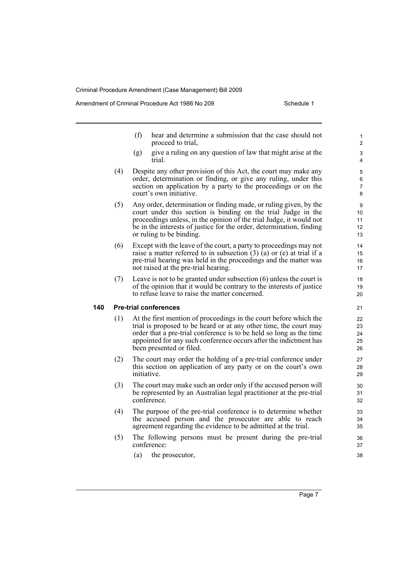Amendment of Criminal Procedure Act 1986 No 209

- (f) hear and determine a submission that the case should not proceed to trial,
- (g) give a ruling on any question of law that might arise at the trial.
- (4) Despite any other provision of this Act, the court may make any order, determination or finding, or give any ruling, under this section on application by a party to the proceedings or on the court's own initiative.
- (5) Any order, determination or finding made, or ruling given, by the court under this section is binding on the trial Judge in the proceedings unless, in the opinion of the trial Judge, it would not be in the interests of justice for the order, determination, finding or ruling to be binding.
- (6) Except with the leave of the court, a party to proceedings may not raise a matter referred to in subsection  $(3)$   $(a)$  or  $(e)$  at trial if a pre-trial hearing was held in the proceedings and the matter was not raised at the pre-trial hearing.
- (7) Leave is not to be granted under subsection (6) unless the court is of the opinion that it would be contrary to the interests of justice to refuse leave to raise the matter concerned.

#### **140 Pre-trial conferences**

- (1) At the first mention of proceedings in the court before which the trial is proposed to be heard or at any other time, the court may order that a pre-trial conference is to be held so long as the time appointed for any such conference occurs after the indictment has been presented or filed.
- (2) The court may order the holding of a pre-trial conference under this section on application of any party or on the court's own initiative.
- (3) The court may make such an order only if the accused person will be represented by an Australian legal practitioner at the pre-trial conference.
- (4) The purpose of the pre-trial conference is to determine whether the accused person and the prosecutor are able to reach agreement regarding the evidence to be admitted at the trial.
- (5) The following persons must be present during the pre-trial conference:
	- (a) the prosecutor,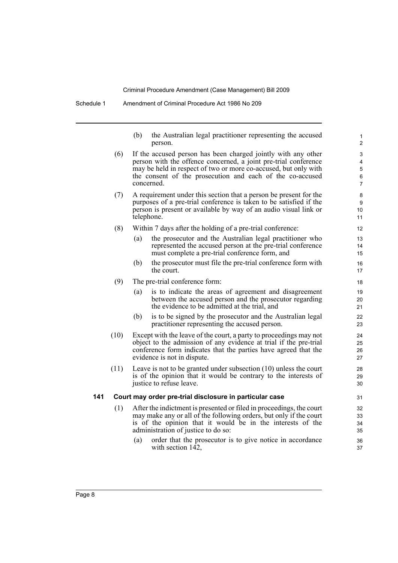Schedule 1 Amendment of Criminal Procedure Act 1986 No 209

| (b) | the Australian legal practitioner representing the accused |
|-----|------------------------------------------------------------|
|     | person.                                                    |

- (6) If the accused person has been charged jointly with any other person with the offence concerned, a joint pre-trial conference may be held in respect of two or more co-accused, but only with the consent of the prosecution and each of the co-accused concerned.
- (7) A requirement under this section that a person be present for the purposes of a pre-trial conference is taken to be satisfied if the person is present or available by way of an audio visual link or telephone.
- (8) Within 7 days after the holding of a pre-trial conference:
	- (a) the prosecutor and the Australian legal practitioner who represented the accused person at the pre-trial conference must complete a pre-trial conference form, and
	- (b) the prosecutor must file the pre-trial conference form with the court.
- (9) The pre-trial conference form:
	- (a) is to indicate the areas of agreement and disagreement between the accused person and the prosecutor regarding the evidence to be admitted at the trial, and
	- (b) is to be signed by the prosecutor and the Australian legal practitioner representing the accused person.
- (10) Except with the leave of the court, a party to proceedings may not object to the admission of any evidence at trial if the pre-trial conference form indicates that the parties have agreed that the evidence is not in dispute.
- (11) Leave is not to be granted under subsection (10) unless the court is of the opinion that it would be contrary to the interests of justice to refuse leave.

#### **141 Court may order pre-trial disclosure in particular case**

- (1) After the indictment is presented or filed in proceedings, the court may make any or all of the following orders, but only if the court is of the opinion that it would be in the interests of the administration of justice to do so:
	- (a) order that the prosecutor is to give notice in accordance with section  $142$ ,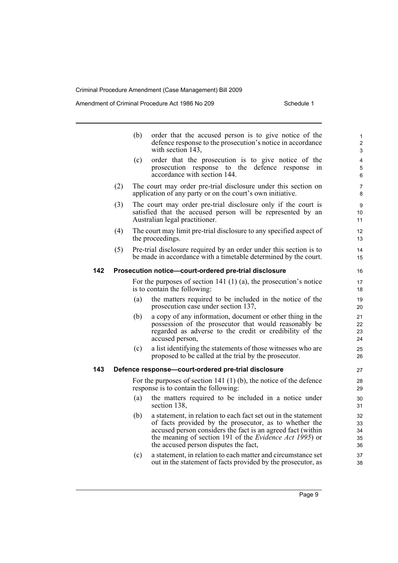Amendment of Criminal Procedure Act 1986 No 209 Schedule 1

|     |     | (b) | order that the accused person is to give notice of the<br>defence response to the prosecution's notice in accordance<br>with section 143.                                                                                                                                                           | $\mathbf{1}$<br>$\overline{2}$<br>3 |
|-----|-----|-----|-----------------------------------------------------------------------------------------------------------------------------------------------------------------------------------------------------------------------------------------------------------------------------------------------------|-------------------------------------|
|     |     | (c) | order that the prosecution is to give notice of the<br>prosecution response to the defence response<br>1n<br>accordance with section 144.                                                                                                                                                           | 4<br>5<br>6                         |
|     | (2) |     | The court may order pre-trial disclosure under this section on<br>application of any party or on the court's own initiative.                                                                                                                                                                        | 7<br>8                              |
|     | (3) |     | The court may order pre-trial disclosure only if the court is<br>satisfied that the accused person will be represented by an<br>Australian legal practitioner.                                                                                                                                      | 9<br>10<br>11                       |
|     | (4) |     | The court may limit pre-trial disclosure to any specified aspect of<br>the proceedings.                                                                                                                                                                                                             | 12<br>13                            |
|     | (5) |     | Pre-trial disclosure required by an order under this section is to<br>be made in accordance with a timetable determined by the court.                                                                                                                                                               | 14<br>15                            |
| 142 |     |     | Prosecution notice-court-ordered pre-trial disclosure                                                                                                                                                                                                                                               | 16                                  |
|     |     |     | For the purposes of section 141 $(1)$ $(a)$ , the prosecution's notice<br>is to contain the following:                                                                                                                                                                                              | 17<br>18                            |
|     |     | (a) | the matters required to be included in the notice of the<br>prosecution case under section 137,                                                                                                                                                                                                     | 19<br>20                            |
|     |     | (b) | a copy of any information, document or other thing in the<br>possession of the prosecutor that would reasonably be<br>regarded as adverse to the credit or credibility of the<br>accused person,                                                                                                    | 21<br>22<br>23<br>24                |
|     |     | (c) | a list identifying the statements of those witnesses who are<br>proposed to be called at the trial by the prosecutor.                                                                                                                                                                               | 25<br>26                            |
| 143 |     |     | Defence response-court-ordered pre-trial disclosure                                                                                                                                                                                                                                                 | 27                                  |
|     |     |     | For the purposes of section 141 $(1)$ (b), the notice of the defence<br>response is to contain the following:                                                                                                                                                                                       | 28<br>29                            |
|     |     | (a) | the matters required to be included in a notice under<br>section 138,                                                                                                                                                                                                                               | 30<br>31                            |
|     |     | (b) | a statement, in relation to each fact set out in the statement<br>of facts provided by the prosecutor, as to whether the<br>accused person considers the fact is an agreed fact (within<br>the meaning of section 191 of the <i>Evidence Act 1995</i> ) or<br>the accused person disputes the fact, | 32<br>33<br>34<br>35<br>36          |

(c) a statement, in relation to each matter and circumstance set out in the statement of facts provided by the prosecutor, as 37 38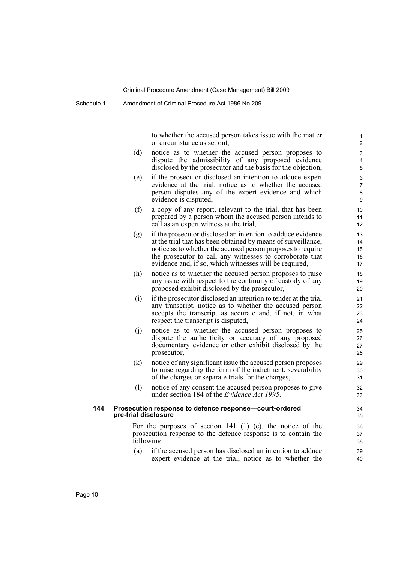to whether the accused person takes issue with the matter or circumstance as set out,

- (d) notice as to whether the accused person proposes to dispute the admissibility of any proposed evidence disclosed by the prosecutor and the basis for the objection,
- (e) if the prosecutor disclosed an intention to adduce expert evidence at the trial, notice as to whether the accused person disputes any of the expert evidence and which evidence is disputed,
- (f) a copy of any report, relevant to the trial, that has been prepared by a person whom the accused person intends to call as an expert witness at the trial,
- (g) if the prosecutor disclosed an intention to adduce evidence at the trial that has been obtained by means of surveillance, notice as to whether the accused person proposes to require the prosecutor to call any witnesses to corroborate that evidence and, if so, which witnesses will be required,
- (h) notice as to whether the accused person proposes to raise any issue with respect to the continuity of custody of any proposed exhibit disclosed by the prosecutor,
- (i) if the prosecutor disclosed an intention to tender at the trial any transcript, notice as to whether the accused person accepts the transcript as accurate and, if not, in what respect the transcript is disputed,
- (j) notice as to whether the accused person proposes to dispute the authenticity or accuracy of any proposed documentary evidence or other exhibit disclosed by the prosecutor,
- (k) notice of any significant issue the accused person proposes to raise regarding the form of the indictment, severability of the charges or separate trials for the charges,
- (l) notice of any consent the accused person proposes to give under section 184 of the *Evidence Act 1995*.

#### **144 Prosecution response to defence response—court-ordered pre-trial disclosure**

For the purposes of section 141 (1) (c), the notice of the prosecution response to the defence response is to contain the following:

(a) if the accused person has disclosed an intention to adduce expert evidence at the trial, notice as to whether the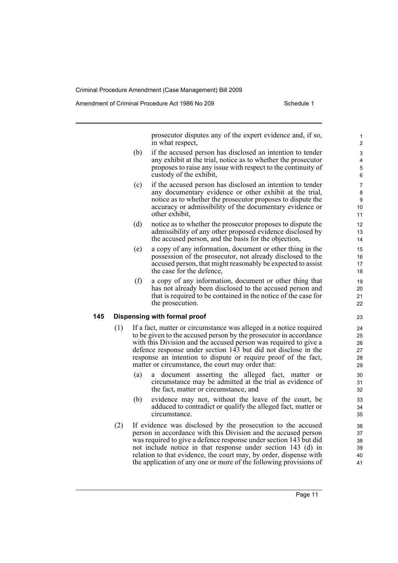Amendment of Criminal Procedure Act 1986 No 209

prosecutor disputes any of the expert evidence and, if so, in what respect,

- (b) if the accused person has disclosed an intention to tender any exhibit at the trial, notice as to whether the prosecutor proposes to raise any issue with respect to the continuity of custody of the exhibit,
- (c) if the accused person has disclosed an intention to tender any documentary evidence or other exhibit at the trial, notice as to whether the prosecutor proposes to dispute the accuracy or admissibility of the documentary evidence or other exhibit,
- (d) notice as to whether the prosecutor proposes to dispute the admissibility of any other proposed evidence disclosed by the accused person, and the basis for the objection,
- (e) a copy of any information, document or other thing in the possession of the prosecutor, not already disclosed to the accused person, that might reasonably be expected to assist the case for the defence,
- (f) a copy of any information, document or other thing that has not already been disclosed to the accused person and that is required to be contained in the notice of the case for the prosecution.

#### **145 Dispensing with formal proof**

- (1) If a fact, matter or circumstance was alleged in a notice required to be given to the accused person by the prosecutor in accordance with this Division and the accused person was required to give a defence response under section 143 but did not disclose in the response an intention to dispute or require proof of the fact, matter or circumstance, the court may order that:
	- (a) a document asserting the alleged fact, matter or circumstance may be admitted at the trial as evidence of the fact, matter or circumstance, and
	- (b) evidence may not, without the leave of the court, be adduced to contradict or qualify the alleged fact, matter or circumstance.
- (2) If evidence was disclosed by the prosecution to the accused person in accordance with this Division and the accused person was required to give a defence response under section 143 but did not include notice in that response under section 143 (d) in relation to that evidence, the court may, by order, dispense with the application of any one or more of the following provisions of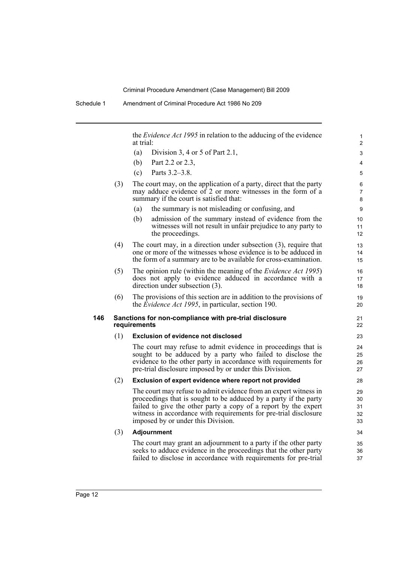the *Evidence Act 1995* in relation to the adducing of the evidence at trial:

- (a) Division 3, 4 or 5 of Part 2.1,
- (b) Part 2.2 or 2.3,
- (c) Parts 3.2–3.8.
- (3) The court may, on the application of a party, direct that the party may adduce evidence of 2 or more witnesses in the form of a summary if the court is satisfied that:
	- (a) the summary is not misleading or confusing, and
	- (b) admission of the summary instead of evidence from the witnesses will not result in unfair prejudice to any party to the proceedings.
- (4) The court may, in a direction under subsection (3), require that one or more of the witnesses whose evidence is to be adduced in the form of a summary are to be available for cross-examination.
- (5) The opinion rule (within the meaning of the *Evidence Act 1995*) does not apply to evidence adduced in accordance with a direction under subsection (3).
- (6) The provisions of this section are in addition to the provisions of the *Evidence Act 1995*, in particular, section 190.

#### **146 Sanctions for non-compliance with pre-trial disclosure requirements**

#### (1) **Exclusion of evidence not disclosed**

The court may refuse to admit evidence in proceedings that is sought to be adduced by a party who failed to disclose the evidence to the other party in accordance with requirements for pre-trial disclosure imposed by or under this Division.

#### (2) **Exclusion of expert evidence where report not provided**

The court may refuse to admit evidence from an expert witness in proceedings that is sought to be adduced by a party if the party failed to give the other party a copy of a report by the expert witness in accordance with requirements for pre-trial disclosure imposed by or under this Division.

#### (3) **Adjournment**

The court may grant an adjournment to a party if the other party seeks to adduce evidence in the proceedings that the other party failed to disclose in accordance with requirements for pre-trial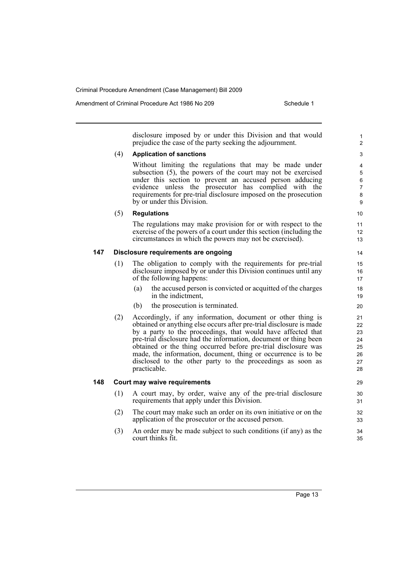Amendment of Criminal Procedure Act 1986 No 209

disclosure imposed by or under this Division and that would prejudice the case of the party seeking the adjournment.

#### (4) **Application of sanctions**

Without limiting the regulations that may be made under subsection (5), the powers of the court may not be exercised under this section to prevent an accused person adducing evidence unless the prosecutor has complied with the requirements for pre-trial disclosure imposed on the prosecution by or under this Division.

#### (5) **Regulations**

The regulations may make provision for or with respect to the exercise of the powers of a court under this section (including the circumstances in which the powers may not be exercised).

#### **147 Disclosure requirements are ongoing**

- (1) The obligation to comply with the requirements for pre-trial disclosure imposed by or under this Division continues until any of the following happens:
	- (a) the accused person is convicted or acquitted of the charges in the indictment,
	- (b) the prosecution is terminated.
- (2) Accordingly, if any information, document or other thing is obtained or anything else occurs after pre-trial disclosure is made by a party to the proceedings, that would have affected that pre-trial disclosure had the information, document or thing been obtained or the thing occurred before pre-trial disclosure was made, the information, document, thing or occurrence is to be disclosed to the other party to the proceedings as soon as practicable.

#### **148 Court may waive requirements**

- (1) A court may, by order, waive any of the pre-trial disclosure requirements that apply under this Division.
- (2) The court may make such an order on its own initiative or on the application of the prosecutor or the accused person.
- (3) An order may be made subject to such conditions (if any) as the court thinks fit.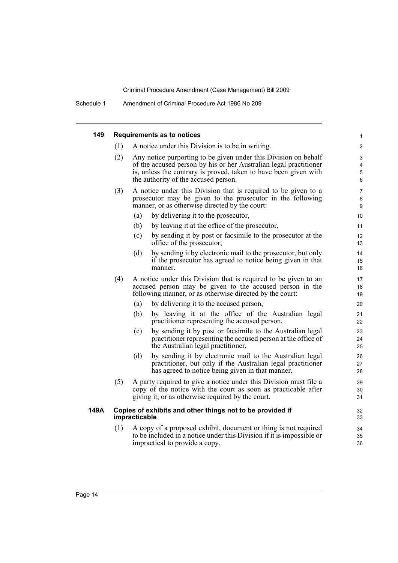| 149  | <b>Requirements as to notices</b>                                          |                                                                                                                                                                                                                                                  |                |  |  |  |
|------|----------------------------------------------------------------------------|--------------------------------------------------------------------------------------------------------------------------------------------------------------------------------------------------------------------------------------------------|----------------|--|--|--|
|      | (1)                                                                        | A notice under this Division is to be in writing.                                                                                                                                                                                                | 2              |  |  |  |
|      | (2)                                                                        | Any notice purporting to be given under this Division on behalf<br>of the accused person by his or her Australian legal practitioner<br>is, unless the contrary is proved, taken to have been given with<br>the authority of the accused person. |                |  |  |  |
|      | (3)                                                                        | A notice under this Division that is required to be given to a<br>prosecutor may be given to the prosecutor in the following<br>manner, or as otherwise directed by the court:                                                                   |                |  |  |  |
|      |                                                                            | (a)<br>by delivering it to the prosecutor,                                                                                                                                                                                                       | 10             |  |  |  |
|      |                                                                            | (b)<br>by leaving it at the office of the prosecutor,                                                                                                                                                                                            | 11             |  |  |  |
|      |                                                                            | by sending it by post or facsimile to the prosecutor at the<br>(c)<br>office of the prosecutor,                                                                                                                                                  | 12<br>13       |  |  |  |
|      |                                                                            | by sending it by electronic mail to the prosecutor, but only<br>(d)<br>if the prosecutor has agreed to notice being given in that<br>manner.                                                                                                     | 14<br>15<br>16 |  |  |  |
|      | (4)                                                                        | A notice under this Division that is required to be given to an<br>accused person may be given to the accused person in the<br>following manner, or as otherwise directed by the court:                                                          | 17<br>18<br>19 |  |  |  |
|      |                                                                            | by delivering it to the accused person,<br>(a)                                                                                                                                                                                                   | 20             |  |  |  |
|      |                                                                            | by leaving it at the office of the Australian legal<br>(b)<br>practitioner representing the accused person,                                                                                                                                      | 21<br>22       |  |  |  |
|      |                                                                            | by sending it by post or facsimile to the Australian legal<br>(c)<br>practitioner representing the accused person at the office of<br>the Australian legal practitioner,                                                                         | 23<br>24<br>25 |  |  |  |
|      |                                                                            | by sending it by electronic mail to the Australian legal<br>(d)<br>practitioner, but only if the Australian legal practitioner<br>has agreed to notice being given in that manner.                                                               | 26<br>27<br>28 |  |  |  |
|      | (5)                                                                        | A party required to give a notice under this Division must file a<br>copy of the notice with the court as soon as practicable after<br>giving it, or as otherwise required by the court.                                                         | 29<br>30<br>31 |  |  |  |
| 149A | Copies of exhibits and other things not to be provided if<br>impracticable |                                                                                                                                                                                                                                                  |                |  |  |  |
|      | (1)                                                                        | A copy of a proposed exhibit, document or thing is not required<br>to be included in a notice under this Division if it is impossible or<br>impractical to provide a copy.                                                                       | 34<br>35<br>36 |  |  |  |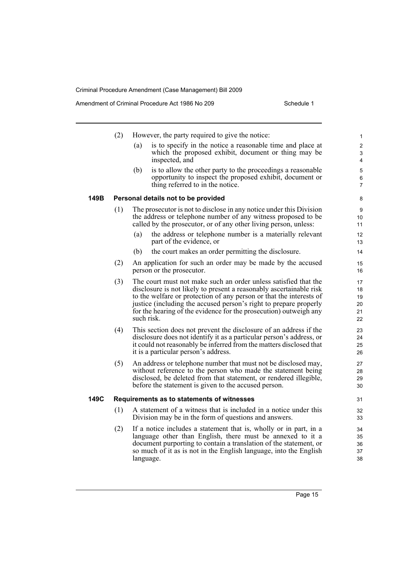Amendment of Criminal Procedure Act 1986 No 209 Schedule 1

|      | (2) | However, the party required to give the notice:                                                                                                                                                                                                                                                                                                                       | 1                                |
|------|-----|-----------------------------------------------------------------------------------------------------------------------------------------------------------------------------------------------------------------------------------------------------------------------------------------------------------------------------------------------------------------------|----------------------------------|
|      |     | is to specify in the notice a reasonable time and place at<br>(a)<br>which the proposed exhibit, document or thing may be<br>inspected, and                                                                                                                                                                                                                           | $\overline{c}$<br>3<br>4         |
|      |     | (b)<br>is to allow the other party to the proceedings a reasonable<br>opportunity to inspect the proposed exhibit, document or<br>thing referred to in the notice.                                                                                                                                                                                                    | 5<br>6<br>7                      |
| 149B |     | Personal details not to be provided                                                                                                                                                                                                                                                                                                                                   | 8                                |
|      | (1) | The prosecutor is not to disclose in any notice under this Division<br>the address or telephone number of any witness proposed to be<br>called by the prosecutor, or of any other living person, unless:                                                                                                                                                              | 9<br>10<br>11                    |
|      |     | the address or telephone number is a materially relevant<br>(a)<br>part of the evidence, or                                                                                                                                                                                                                                                                           | 12<br>13                         |
|      |     | (b)<br>the court makes an order permitting the disclosure.                                                                                                                                                                                                                                                                                                            | 14                               |
|      | (2) | An application for such an order may be made by the accused<br>person or the prosecutor.                                                                                                                                                                                                                                                                              | 15<br>16                         |
|      | (3) | The court must not make such an order unless satisfied that the<br>disclosure is not likely to present a reasonably ascertainable risk<br>to the welfare or protection of any person or that the interests of<br>justice (including the accused person's right to prepare properly<br>for the hearing of the evidence for the prosecution) outweigh any<br>such risk. | 17<br>18<br>19<br>20<br>21<br>22 |
|      | (4) | This section does not prevent the disclosure of an address if the<br>disclosure does not identify it as a particular person's address, or<br>it could not reasonably be inferred from the matters disclosed that<br>it is a particular person's address.                                                                                                              | 23<br>24<br>25<br>26             |
|      | (5) | An address or telephone number that must not be disclosed may,<br>without reference to the person who made the statement being<br>disclosed, be deleted from that statement, or rendered illegible,<br>before the statement is given to the accused person.                                                                                                           | 27<br>28<br>29<br>30             |
| 149C |     | Requirements as to statements of witnesses                                                                                                                                                                                                                                                                                                                            | 31                               |
|      | (1) | A statement of a witness that is included in a notice under this<br>Division may be in the form of questions and answers.                                                                                                                                                                                                                                             | 32<br>33                         |
|      | (2) | If a notice includes a statement that is, wholly or in part, in a<br>language other than English, there must be annexed to it a<br>document purporting to contain a translation of the statement, or<br>so much of it as is not in the English language, into the English<br>language.                                                                                | 34<br>35<br>36<br>37<br>38       |

38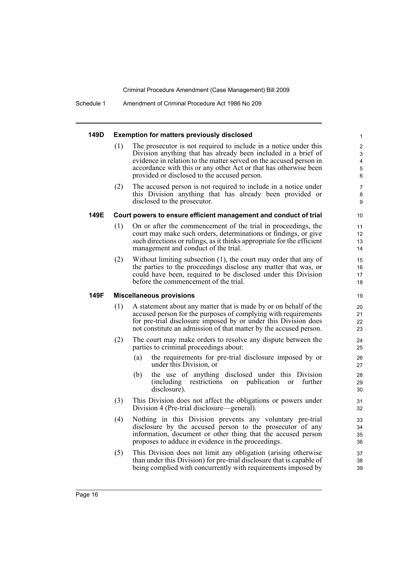Schedule 1 Amendment of Criminal Procedure Act 1986 No 209

#### **149D Exemption for matters previously disclosed**

(1) The prosecutor is not required to include in a notice under this Division anything that has already been included in a brief of evidence in relation to the matter served on the accused person in accordance with this or any other Act or that has otherwise been provided or disclosed to the accused person.

(2) The accused person is not required to include in a notice under this Division anything that has already been provided or disclosed to the prosecutor.

#### **149E Court powers to ensure efficient management and conduct of trial**

- (1) On or after the commencement of the trial in proceedings, the court may make such orders, determinations or findings, or give such directions or rulings, as it thinks appropriate for the efficient management and conduct of the trial.
- (2) Without limiting subsection (1), the court may order that any of the parties to the proceedings disclose any matter that was, or could have been, required to be disclosed under this Division before the commencement of the trial.

#### **149F Miscellaneous provisions**

- (1) A statement about any matter that is made by or on behalf of the accused person for the purposes of complying with requirements for pre-trial disclosure imposed by or under this Division does not constitute an admission of that matter by the accused person.
- (2) The court may make orders to resolve any dispute between the parties to criminal proceedings about:
	- (a) the requirements for pre-trial disclosure imposed by or under this Division, or
	- (b) the use of anything disclosed under this Division (including restrictions on publication or further disclosure).
- (3) This Division does not affect the obligations or powers under Division 4 (Pre-trial disclosure—general).
- (4) Nothing in this Division prevents any voluntary pre-trial disclosure by the accused person to the prosecutor of any information, document or other thing that the accused person proposes to adduce in evidence in the proceedings.
- (5) This Division does not limit any obligation (arising otherwise than under this Division) for pre-trial disclosure that is capable of being complied with concurrently with requirements imposed by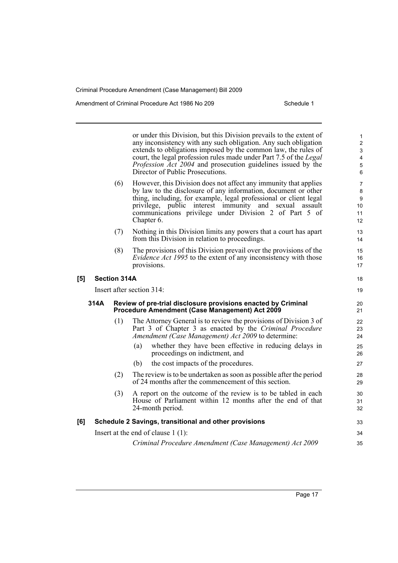Amendment of Criminal Procedure Act 1986 No 209

or under this Division, but this Division prevails to the extent of any inconsistency with any such obligation. Any such obligation extends to obligations imposed by the common law, the rules of court, the legal profession rules made under Part 7.5 of the *Legal Profession Act 2004* and prosecution guidelines issued by the Director of Public Prosecutions. (6) However, this Division does not affect any immunity that applies by law to the disclosure of any information, document or other thing, including, for example, legal professional or client legal privilege, public interest immunity and sexual assault communications privilege under Division 2 of Part 5 of Chapter 6. (7) Nothing in this Division limits any powers that a court has apart from this Division in relation to proceedings. (8) The provisions of this Division prevail over the provisions of the *Evidence Act 1995* to the extent of any inconsistency with those provisions. **[5] Section 314A** Insert after section 314: **314A Review of pre-trial disclosure provisions enacted by Criminal Procedure Amendment (Case Management) Act 2009** (1) The Attorney General is to review the provisions of Division 3 of Part 3 of Chapter 3 as enacted by the *Criminal Procedure Amendment (Case Management) Act 2009* to determine: (a) whether they have been effective in reducing delays in proceedings on indictment, and (b) the cost impacts of the procedures. (2) The review is to be undertaken as soon as possible after the period of 24 months after the commencement of this section. (3) A report on the outcome of the review is to be tabled in each House of Parliament within 12 months after the end of that 24-month period. **[6] Schedule 2 Savings, transitional and other provisions** Insert at the end of clause 1 (1): *Criminal Procedure Amendment (Case Management) Act 2009* 1 2 3 4 5 6 7 8 9 10 11 12 13 14 15 16 17 18 19 20 21  $22$ 23 24 25 26 27 28 29 30 31 32 33 34 35